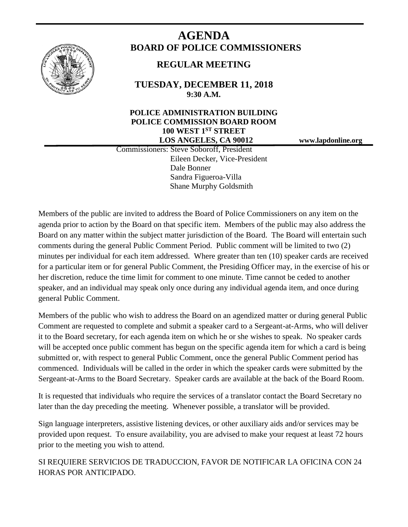

# **AGENDA BOARD OF POLICE COMMISSIONERS**

## **REGULAR MEETING**

**TUESDAY, DECEMBER 11, 2018 9:30 A.M.**

## **POLICE ADMINISTRATION BUILDING POLICE COMMISSION BOARD ROOM 100 WEST 1ST STREET LOS ANGELES, CA 90012 www.lapdonline.org**

 Commissioners: Steve Soboroff, President Eileen Decker, Vice-President Dale Bonner Sandra Figueroa-Villa Shane Murphy Goldsmith

Members of the public are invited to address the Board of Police Commissioners on any item on the agenda prior to action by the Board on that specific item. Members of the public may also address the Board on any matter within the subject matter jurisdiction of the Board. The Board will entertain such comments during the general Public Comment Period. Public comment will be limited to two (2) minutes per individual for each item addressed. Where greater than ten (10) speaker cards are received for a particular item or for general Public Comment, the Presiding Officer may, in the exercise of his or her discretion, reduce the time limit for comment to one minute. Time cannot be ceded to another speaker, and an individual may speak only once during any individual agenda item, and once during general Public Comment.

Members of the public who wish to address the Board on an agendized matter or during general Public Comment are requested to complete and submit a speaker card to a Sergeant-at-Arms, who will deliver it to the Board secretary, for each agenda item on which he or she wishes to speak. No speaker cards will be accepted once public comment has begun on the specific agenda item for which a card is being submitted or, with respect to general Public Comment, once the general Public Comment period has commenced. Individuals will be called in the order in which the speaker cards were submitted by the Sergeant-at-Arms to the Board Secretary. Speaker cards are available at the back of the Board Room.

It is requested that individuals who require the services of a translator contact the Board Secretary no later than the day preceding the meeting. Whenever possible, a translator will be provided.

Sign language interpreters, assistive listening devices, or other auxiliary aids and/or services may be provided upon request. To ensure availability, you are advised to make your request at least 72 hours prior to the meeting you wish to attend.

SI REQUIERE SERVICIOS DE TRADUCCION, FAVOR DE NOTIFICAR LA OFICINA CON 24 HORAS POR ANTICIPADO.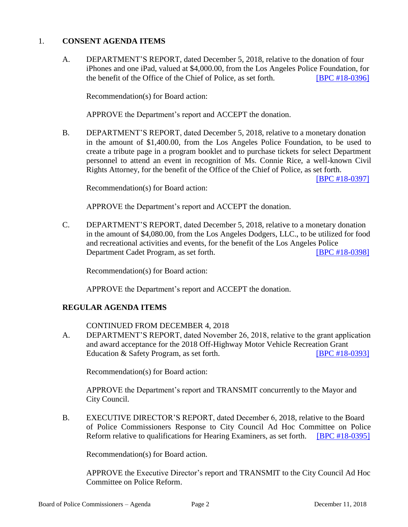#### 1. **CONSENT AGENDA ITEMS**

A. DEPARTMENT'S REPORT, dated December 5, 2018, relative to the donation of four iPhones and one iPad, valued at \$4,000.00, from the Los Angeles Police Foundation, for the benefit of the Office of the Chief of Police, as set forth. [\[BPC #18-0396\]](http://www.lapdpolicecom.lacity.org/121118/BPC_18-0396.pdf)

Recommendation(s) for Board action:

APPROVE the Department's report and ACCEPT the donation.

B. DEPARTMENT'S REPORT, dated December 5, 2018, relative to a monetary donation in the amount of \$1,400.00, from the Los Angeles Police Foundation, to be used to create a tribute page in a program booklet and to purchase tickets for select Department personnel to attend an event in recognition of Ms. Connie Rice, a well-known Civil Rights Attorney, for the benefit of the Office of the Chief of Police, as set forth.

[\[BPC #18-0397\]](http://www.lapdpolicecom.lacity.org/121118/BPC_18-0397.pdf)

Recommendation(s) for Board action:

APPROVE the Department's report and ACCEPT the donation.

C. DEPARTMENT'S REPORT, dated December 5, 2018, relative to a monetary donation in the amount of \$4,080.00, from the Los Angeles Dodgers, LLC., to be utilized for food and recreational activities and events, for the benefit of the Los Angeles Police Department Cadet Program, as set forth. [\[BPC #18-0398\]](http://www.lapdpolicecom.lacity.org/121118/BPC_18-03898pdf)

Recommendation(s) for Board action:

APPROVE the Department's report and ACCEPT the donation.

### **REGULAR AGENDA ITEMS**

#### CONTINUED FROM DECEMBER 4, 2018

A. DEPARTMENT'S REPORT, dated November 26, 2018, relative to the grant application and award acceptance for the 2018 Off-Highway Motor Vehicle Recreation Grant Education & Safety Program, as set forth. [\[BPC #18-0393\]](http://www.lapdpolicecom.lacity.org/121118/BPC_18-0393.pdf)

Recommendation(s) for Board action:

APPROVE the Department's report and TRANSMIT concurrently to the Mayor and City Council.

B. EXECUTIVE DIRECTOR'S REPORT, dated December 6, 2018, relative to the Board of Police Commissioners Response to City Council Ad Hoc Committee on Police Reform relative to qualifications for Hearing Examiners, as set forth. [\[BPC #18-0395\]](http://www.lapdpolicecom.lacity.org/121118/BPC_18-0395.pdf)

Recommendation(s) for Board action.

APPROVE the Executive Director's report and TRANSMIT to the City Council Ad Hoc Committee on Police Reform.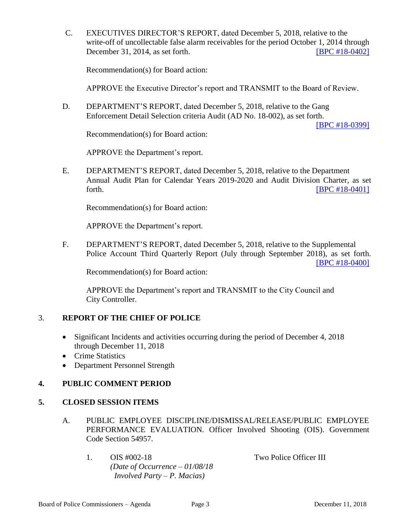C. EXECUTIVES DIRECTOR'S REPORT, dated December 5, 2018, relative to the write-off of uncollectable false alarm receivables for the period October 1, 2014 through December 31, 2014, as set forth. [\[BPC #18-0402\]](http://www.lapdpolicecom.lacity.org/121118/BPC_18-0402.pdf)

Recommendation(s) for Board action:

APPROVE the Executive Director's report and TRANSMIT to the Board of Review.

D. DEPARTMENT'S REPORT, dated December 5, 2018, relative to the Gang Enforcement Detail Selection criteria Audit (AD No. 18-002), as set forth.

[\[BPC #18-0399\]](http://www.lapdpolicecom.lacity.org/121118/BPC_18-0399.pdf)

Recommendation(s) for Board action:

APPROVE the Department's report.

E. DEPARTMENT'S REPORT, dated December 5, 2018, relative to the Department Annual Audit Plan for Calendar Years 2019-2020 and Audit Division Charter, as set forth. **EXECUTE: EXECUTE: EXECUTE: EXECUTE: EXECUTE: EXECUTE: EXECUTE: EXECUTE: EXECUTE: EXECUTE: EXECUTE: EXECUTE: EXECUTE: EXECUTE: EXECUTE: EXECUTE: EXECUTE: EXECUTE: EXECUTE: EXECU** 

Recommendation(s) for Board action:

APPROVE the Department's report.

F. DEPARTMENT'S REPORT, dated December 5, 2018, relative to the Supplemental Police Account Third Quarterly Report (July through September 2018), as set forth.

[\[BPC #18-0400\]](http://www.lapdpolicecom.lacity.org/121118/BPC_18-0400.pdf)

Recommendation(s) for Board action:

APPROVE the Department's report and TRANSMIT to the City Council and City Controller.

#### 3. **REPORT OF THE CHIEF OF POLICE**

- Significant Incidents and activities occurring during the period of December 4, 2018 through December 11, 2018
- Crime Statistics
- Department Personnel Strength

#### **4. PUBLIC COMMENT PERIOD**

#### **5. CLOSED SESSION ITEMS**

- A. PUBLIC EMPLOYEE DISCIPLINE/DISMISSAL/RELEASE/PUBLIC EMPLOYEE PERFORMANCE EVALUATION. Officer Involved Shooting (OIS). Government Code Section 54957.
	- 1. OIS #002-18 Two Police Officer III *(Date of Occurrence – 01/08/18 Involved Party – P. Macias)*